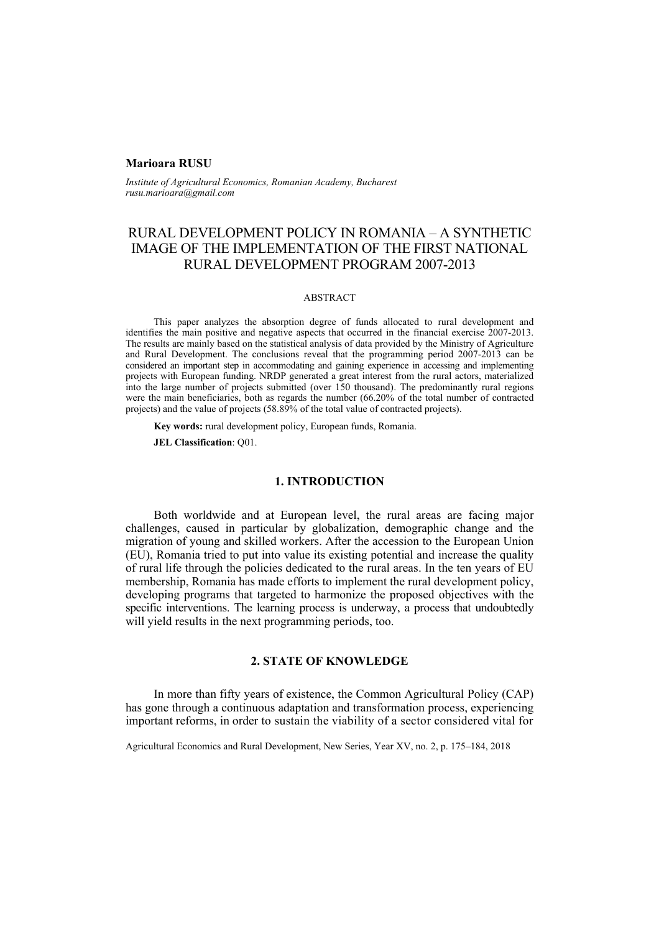### **Marioara RUSU**

*Institute of Agricultural Economics, Romanian Academy, Bucharest rusu.marioara@gmail.com* 

# RURAL DEVELOPMENT POLICY IN ROMANIA – A SYNTHETIC IMAGE OF THE IMPLEMENTATION OF THE FIRST NATIONAL RURAL DEVELOPMENT PROGRAM 2007-2013

### ABSTRACT

This paper analyzes the absorption degree of funds allocated to rural development and identifies the main positive and negative aspects that occurred in the financial exercise 2007-2013. The results are mainly based on the statistical analysis of data provided by the Ministry of Agriculture and Rural Development. The conclusions reveal that the programming period 2007-2013 can be considered an important step in accommodating and gaining experience in accessing and implementing projects with European funding. NRDP generated a great interest from the rural actors, materialized into the large number of projects submitted (over 150 thousand). The predominantly rural regions were the main beneficiaries, both as regards the number (66.20% of the total number of contracted projects) and the value of projects (58.89% of the total value of contracted projects).

**Key words:** rural development policy, European funds, Romania.

**JEL Classification**: Q01.

### **1. INTRODUCTION**

Both worldwide and at European level, the rural areas are facing major challenges, caused in particular by globalization, demographic change and the migration of young and skilled workers. After the accession to the European Union (EU), Romania tried to put into value its existing potential and increase the quality of rural life through the policies dedicated to the rural areas. In the ten years of EU membership, Romania has made efforts to implement the rural development policy, developing programs that targeted to harmonize the proposed objectives with the specific interventions. The learning process is underway, a process that undoubtedly will yield results in the next programming periods, too.

# **2. STATE OF KNOWLEDGE**

In more than fifty years of existence, the Common Agricultural Policy (CAP) has gone through a continuous adaptation and transformation process, experiencing important reforms, in order to sustain the viability of a sector considered vital for

Agricultural Economics and Rural Development, New Series, Year XV, no. 2, p. 175–184, 2018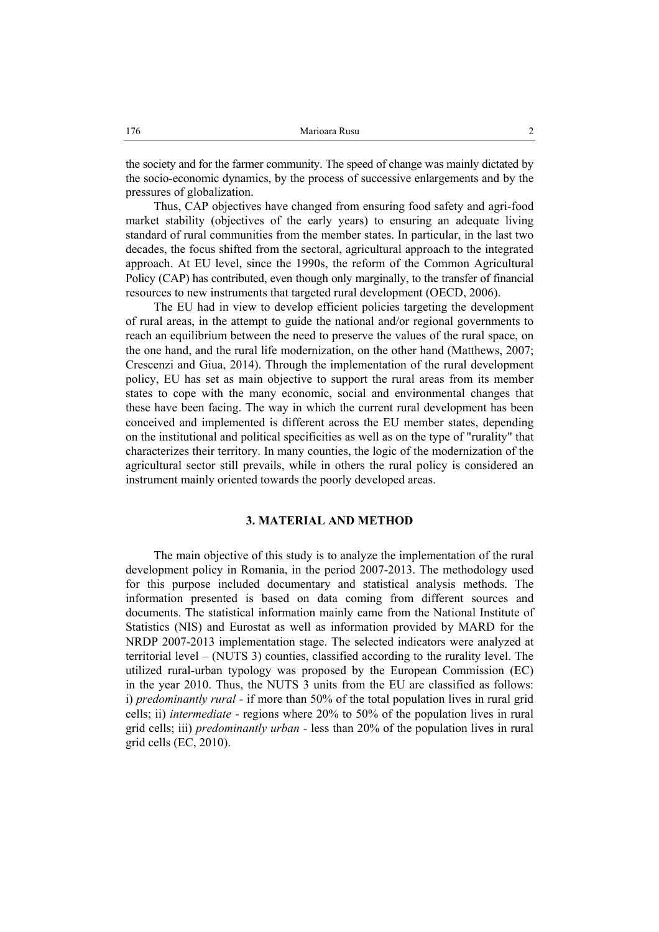the society and for the farmer community. The speed of change was mainly dictated by the socio-economic dynamics, by the process of successive enlargements and by the pressures of globalization.

Thus, CAP objectives have changed from ensuring food safety and agri-food market stability (objectives of the early years) to ensuring an adequate living standard of rural communities from the member states. In particular, in the last two decades, the focus shifted from the sectoral, agricultural approach to the integrated approach. At EU level, since the 1990s, the reform of the Common Agricultural Policy (CAP) has contributed, even though only marginally, to the transfer of financial resources to new instruments that targeted rural development (OECD, 2006).

The EU had in view to develop efficient policies targeting the development of rural areas, in the attempt to guide the national and/or regional governments to reach an equilibrium between the need to preserve the values of the rural space, on the one hand, and the rural life modernization, on the other hand (Matthews, 2007; Crescenzi and Giua, 2014). Through the implementation of the rural development policy, EU has set as main objective to support the rural areas from its member states to cope with the many economic, social and environmental changes that these have been facing. The way in which the current rural development has been conceived and implemented is different across the EU member states, depending on the institutional and political specificities as well as on the type of "rurality" that characterizes their territory. In many counties, the logic of the modernization of the agricultural sector still prevails, while in others the rural policy is considered an instrument mainly oriented towards the poorly developed areas.

## **3. MATERIAL AND METHOD**

The main objective of this study is to analyze the implementation of the rural development policy in Romania, in the period 2007-2013. The methodology used for this purpose included documentary and statistical analysis methods. The information presented is based on data coming from different sources and documents. The statistical information mainly came from the National Institute of Statistics (NIS) and Eurostat as well as information provided by MARD for the NRDP 2007-2013 implementation stage. The selected indicators were analyzed at territorial level – (NUTS 3) counties, classified according to the rurality level. The utilized rural-urban typology was proposed by the European Commission (EC) in the year 2010. Thus, the NUTS 3 units from the EU are classified as follows: i) *predominantly rural* - if more than 50% of the total population lives in rural grid cells; ii) *intermediate* - regions where 20% to 50% of the population lives in rural grid cells; iii) *predominantly urban* - less than 20% of the population lives in rural grid cells (EC, 2010).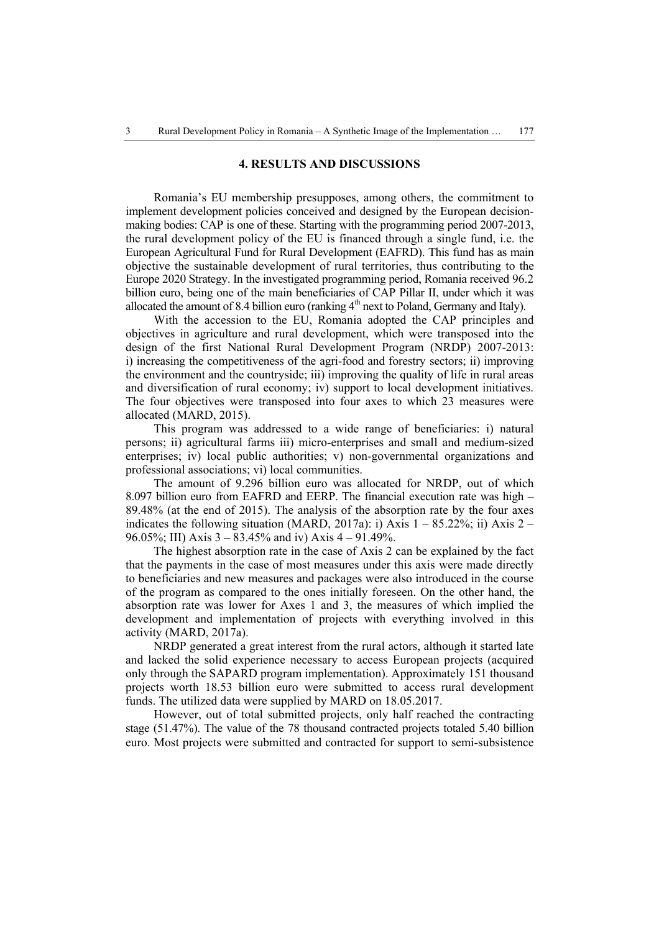## **4. RESULTS AND DISCUSSIONS**

Romania's EU membership presupposes, among others, the commitment to implement development policies conceived and designed by the European decisionmaking bodies: CAP is one of these. Starting with the programming period 2007-2013, the rural development policy of the EU is financed through a single fund, i.e. the European Agricultural Fund for Rural Development (EAFRD). This fund has as main objective the sustainable development of rural territories, thus contributing to the Europe 2020 Strategy. In the investigated programming period, Romania received 96.2 billion euro, being one of the main beneficiaries of CAP Pillar II, under which it was allocated the amount of 8.4 billion euro (ranking  $4<sup>th</sup>$  next to Poland, Germany and Italy).

With the accession to the EU, Romania adopted the CAP principles and objectives in agriculture and rural development, which were transposed into the design of the first National Rural Development Program (NRDP) 2007-2013: i) increasing the competitiveness of the agri-food and forestry sectors; ii) improving the environment and the countryside; iii) improving the quality of life in rural areas and diversification of rural economy; iv) support to local development initiatives. The four objectives were transposed into four axes to which 23 measures were allocated (MARD, 2015).

This program was addressed to a wide range of beneficiaries: i) natural persons; ii) agricultural farms iii) micro-enterprises and small and medium-sized enterprises; iv) local public authorities; v) non-governmental organizations and professional associations; vi) local communities.

The amount of 9.296 billion euro was allocated for NRDP, out of which 8.097 billion euro from EAFRD and EERP. The financial execution rate was high – 89.48% (at the end of 2015). The analysis of the absorption rate by the four axes indicates the following situation (MARD, 2017a): i) Axis  $1 - 85.22\%$ ; ii) Axis  $2 -$ 96.05%; III) Axis  $3 - 83.45\%$  and iv) Axis  $4 - 91.49\%$ .

The highest absorption rate in the case of Axis 2 can be explained by the fact that the payments in the case of most measures under this axis were made directly to beneficiaries and new measures and packages were also introduced in the course of the program as compared to the ones initially foreseen. On the other hand, the absorption rate was lower for Axes 1 and 3, the measures of which implied the development and implementation of projects with everything involved in this activity (MARD, 2017a).

NRDP generated a great interest from the rural actors, although it started late and lacked the solid experience necessary to access European projects (acquired only through the SAPARD program implementation). Approximately 151 thousand projects worth 18.53 billion euro were submitted to access rural development funds. The utilized data were supplied by MARD on 18.05.2017.

However, out of total submitted projects, only half reached the contracting stage (51.47%). The value of the 78 thousand contracted projects totaled 5.40 billion euro. Most projects were submitted and contracted for support to semi-subsistence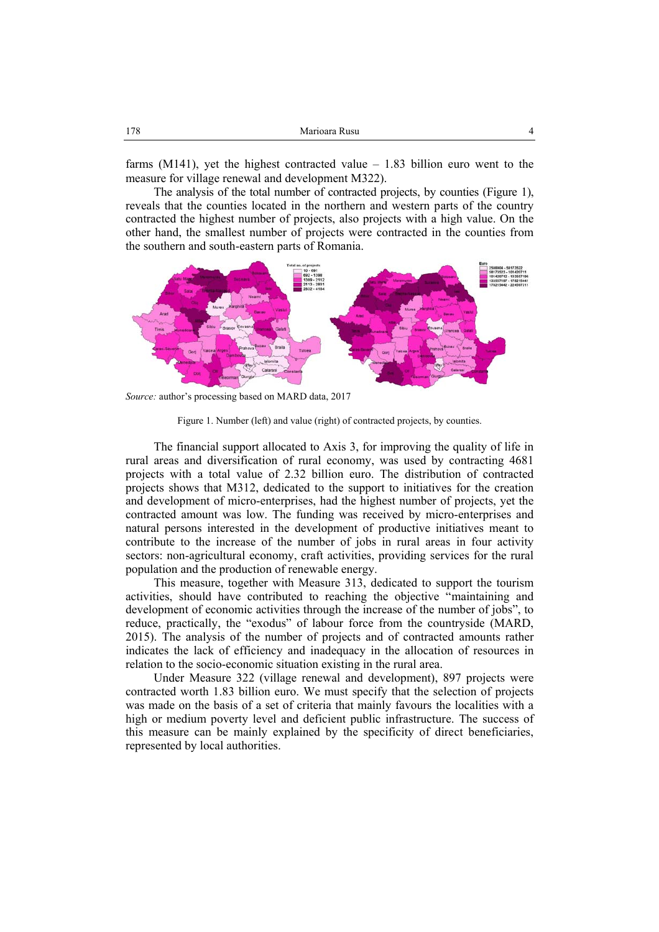farms  $(M141)$ , yet the highest contracted value  $-1.83$  billion euro went to the measure for village renewal and development M322).

The analysis of the total number of contracted projects, by counties (Figure 1), reveals that the counties located in the northern and western parts of the country contracted the highest number of projects, also projects with a high value. On the other hand, the smallest number of projects were contracted in the counties from the southern and south-eastern parts of Romania.



*Source:* author's processing based on MARD data, 2017

Figure 1. Number (left) and value (right) of contracted projects, by counties.

The financial support allocated to Axis 3, for improving the quality of life in rural areas and diversification of rural economy, was used by contracting 4681 projects with a total value of 2.32 billion euro. The distribution of contracted projects shows that M312, dedicated to the support to initiatives for the creation and development of micro-enterprises, had the highest number of projects, yet the contracted amount was low. The funding was received by micro-enterprises and natural persons interested in the development of productive initiatives meant to contribute to the increase of the number of jobs in rural areas in four activity sectors: non-agricultural economy, craft activities, providing services for the rural population and the production of renewable energy.

This measure, together with Measure 313, dedicated to support the tourism activities, should have contributed to reaching the objective "maintaining and development of economic activities through the increase of the number of jobs", to reduce, practically, the "exodus" of labour force from the countryside (MARD, 2015). The analysis of the number of projects and of contracted amounts rather indicates the lack of efficiency and inadequacy in the allocation of resources in relation to the socio-economic situation existing in the rural area.

Under Measure 322 (village renewal and development), 897 projects were contracted worth 1.83 billion euro. We must specify that the selection of projects was made on the basis of a set of criteria that mainly favours the localities with a high or medium poverty level and deficient public infrastructure. The success of this measure can be mainly explained by the specificity of direct beneficiaries, represented by local authorities.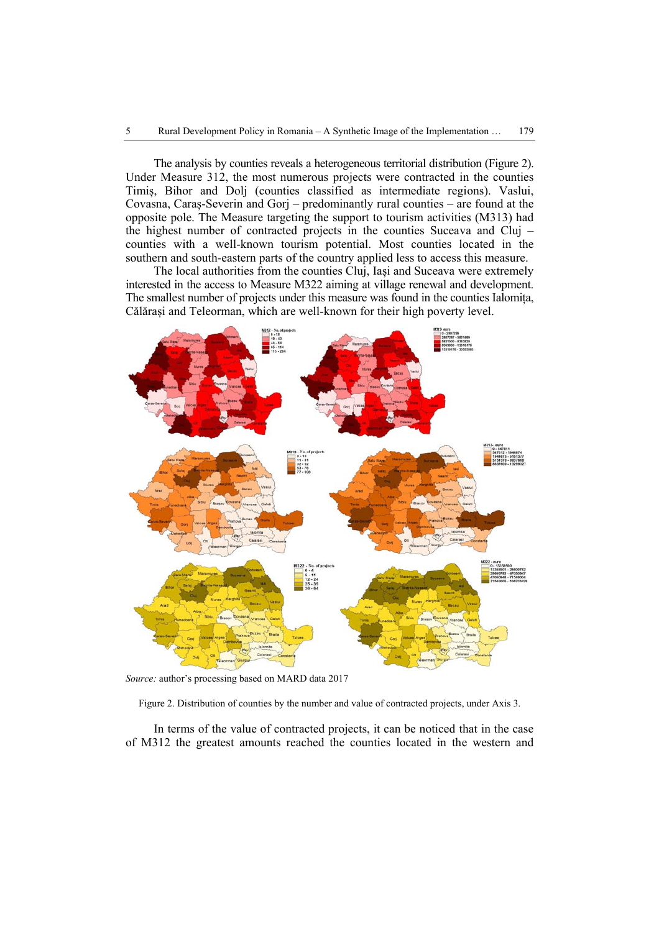The analysis by counties reveals a heterogeneous territorial distribution (Figure 2). Under Measure 312, the most numerous projects were contracted in the counties Timiș, Bihor and Dolj (counties classified as intermediate regions). Vaslui, Covasna, Caraș-Severin and Gorj – predominantly rural counties – are found at the opposite pole. The Measure targeting the support to tourism activities (M313) had the highest number of contracted projects in the counties Suceava and Cluj – counties with a well-known tourism potential. Most counties located in the southern and south-eastern parts of the country applied less to access this measure.

The local authorities from the counties Cluj, Iași and Suceava were extremely interested in the access to Measure M322 aiming at village renewal and development. The smallest number of projects under this measure was found in the counties Ialomița, Călărași and Teleorman, which are well-known for their high poverty level.



*Source:* author's processing based on MARD data 2017

Figure 2. Distribution of counties by the number and value of contracted projects, under Axis 3.

In terms of the value of contracted projects, it can be noticed that in the case of M312 the greatest amounts reached the counties located in the western and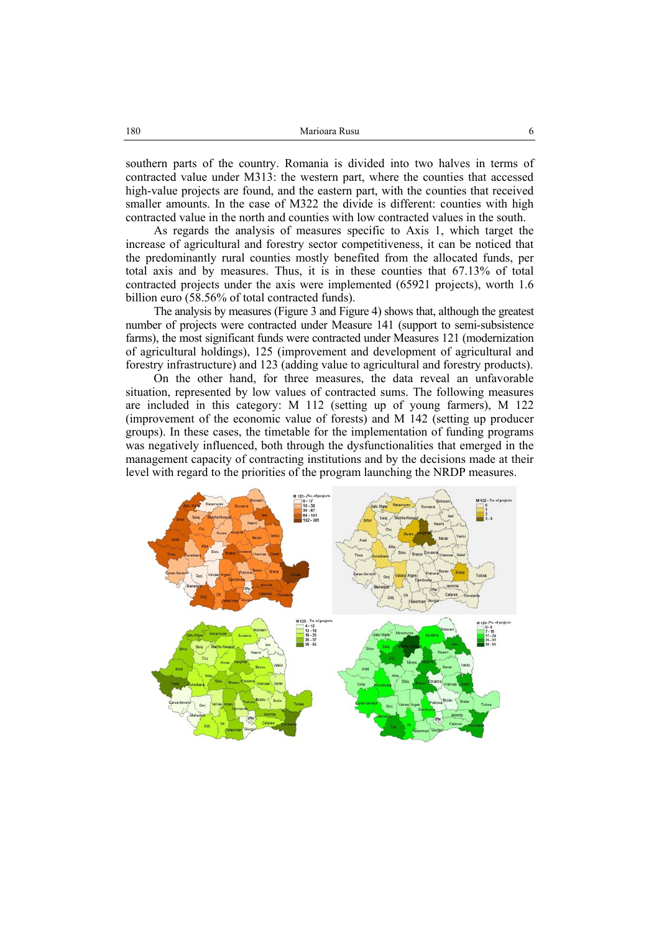southern parts of the country. Romania is divided into two halves in terms of contracted value under M313: the western part, where the counties that accessed high-value projects are found, and the eastern part, with the counties that received smaller amounts. In the case of M322 the divide is different: counties with high contracted value in the north and counties with low contracted values in the south.

As regards the analysis of measures specific to Axis 1, which target the increase of agricultural and forestry sector competitiveness, it can be noticed that the predominantly rural counties mostly benefited from the allocated funds, per total axis and by measures. Thus, it is in these counties that 67.13% of total contracted projects under the axis were implemented (65921 projects), worth 1.6 billion euro (58.56% of total contracted funds).

The analysis by measures (Figure 3 and Figure 4) shows that, although the greatest number of projects were contracted under Measure 141 (support to semi-subsistence farms), the most significant funds were contracted under Measures 121 (modernization of agricultural holdings), 125 (improvement and development of agricultural and forestry infrastructure) and 123 (adding value to agricultural and forestry products).

On the other hand, for three measures, the data reveal an unfavorable situation, represented by low values of contracted sums. The following measures are included in this category: M 112 (setting up of young farmers), M 122 (improvement of the economic value of forests) and M 142 (setting up producer groups). In these cases, the timetable for the implementation of funding programs was negatively influenced, both through the dysfunctionalities that emerged in the management capacity of contracting institutions and by the decisions made at their level with regard to the priorities of the program launching the NRDP measures.

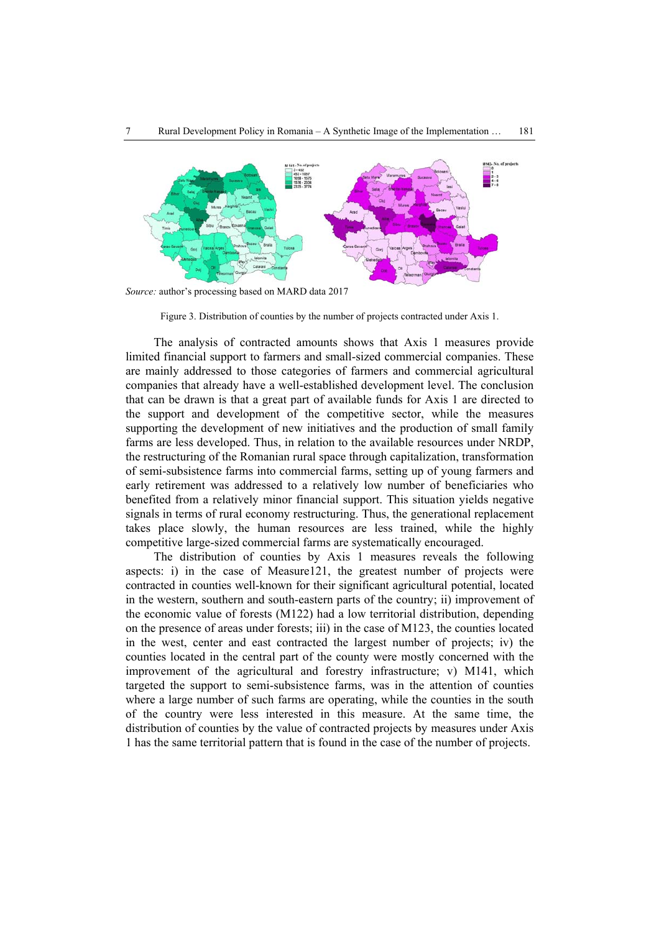

*Source:* author's processing based on MARD data 2017

Figure 3. Distribution of counties by the number of projects contracted under Axis 1.

The analysis of contracted amounts shows that Axis 1 measures provide limited financial support to farmers and small-sized commercial companies. These are mainly addressed to those categories of farmers and commercial agricultural companies that already have a well-established development level. The conclusion that can be drawn is that a great part of available funds for Axis 1 are directed to the support and development of the competitive sector, while the measures supporting the development of new initiatives and the production of small family farms are less developed. Thus, in relation to the available resources under NRDP, the restructuring of the Romanian rural space through capitalization, transformation of semi-subsistence farms into commercial farms, setting up of young farmers and early retirement was addressed to a relatively low number of beneficiaries who benefited from a relatively minor financial support. This situation yields negative signals in terms of rural economy restructuring. Thus, the generational replacement takes place slowly, the human resources are less trained, while the highly competitive large-sized commercial farms are systematically encouraged.

The distribution of counties by Axis 1 measures reveals the following aspects: i) in the case of Measure121, the greatest number of projects were contracted in counties well-known for their significant agricultural potential, located in the western, southern and south-eastern parts of the country; ii) improvement of the economic value of forests (M122) had a low territorial distribution, depending on the presence of areas under forests; iii) in the case of M123, the counties located in the west, center and east contracted the largest number of projects; iv) the counties located in the central part of the county were mostly concerned with the improvement of the agricultural and forestry infrastructure; v) M141, which targeted the support to semi-subsistence farms, was in the attention of counties where a large number of such farms are operating, while the counties in the south of the country were less interested in this measure. At the same time, the distribution of counties by the value of contracted projects by measures under Axis 1 has the same territorial pattern that is found in the case of the number of projects.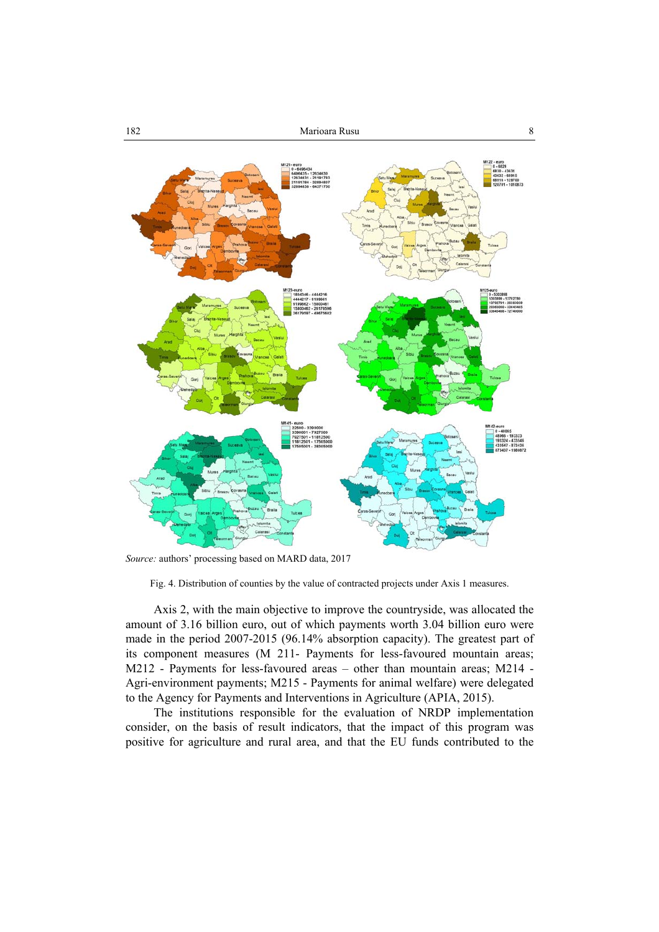

*Source:* authors' processing based on MARD data, 2017

Fig. 4. Distribution of counties by the value of contracted projects under Axis 1 measures.

Axis 2, with the main objective to improve the countryside, was allocated the amount of 3.16 billion euro, out of which payments worth 3.04 billion euro were made in the period 2007-2015 (96.14% absorption capacity). The greatest part of its component measures (M 211- Payments for less-favoured mountain areas; M212 - Payments for less-favoured areas – other than mountain areas; M214 - Agri-environment payments; M215 - Payments for animal welfare) were delegated to the Agency for Payments and Interventions in Agriculture (APIA, 2015).

The institutions responsible for the evaluation of NRDP implementation consider, on the basis of result indicators, that the impact of this program was positive for agriculture and rural area, and that the EU funds contributed to the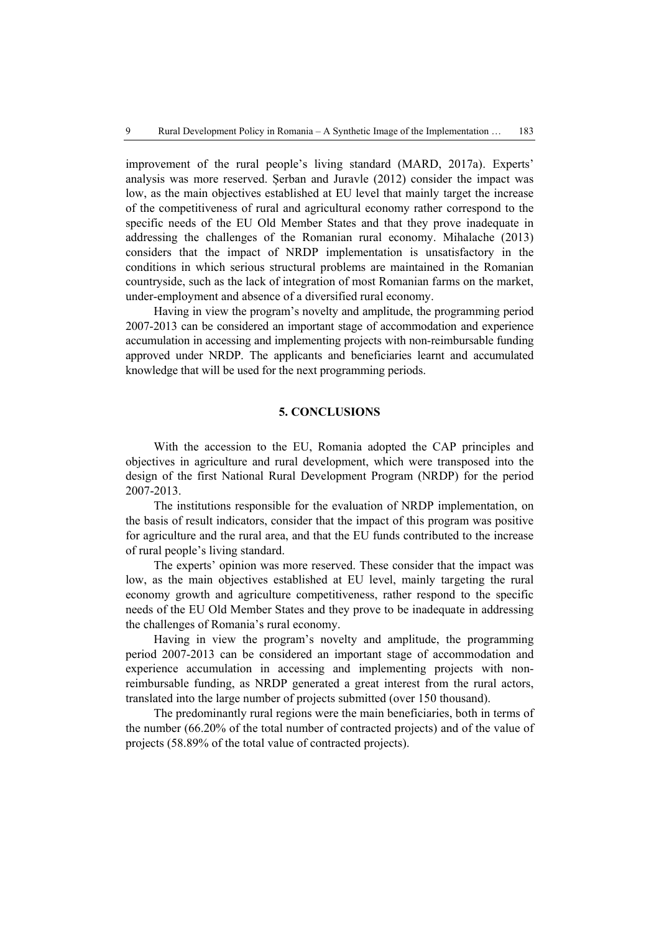improvement of the rural people's living standard (MARD, 2017a). Experts' analysis was more reserved. Șerban and Juravle (2012) consider the impact was low, as the main objectives established at EU level that mainly target the increase of the competitiveness of rural and agricultural economy rather correspond to the specific needs of the EU Old Member States and that they prove inadequate in addressing the challenges of the Romanian rural economy. Mihalache (2013) considers that the impact of NRDP implementation is unsatisfactory in the conditions in which serious structural problems are maintained in the Romanian countryside, such as the lack of integration of most Romanian farms on the market, under-employment and absence of a diversified rural economy.

Having in view the program's novelty and amplitude, the programming period 2007-2013 can be considered an important stage of accommodation and experience accumulation in accessing and implementing projects with non-reimbursable funding approved under NRDP. The applicants and beneficiaries learnt and accumulated knowledge that will be used for the next programming periods.

# **5. CONCLUSIONS**

With the accession to the EU, Romania adopted the CAP principles and objectives in agriculture and rural development, which were transposed into the design of the first National Rural Development Program (NRDP) for the period 2007-2013.

The institutions responsible for the evaluation of NRDP implementation, on the basis of result indicators, consider that the impact of this program was positive for agriculture and the rural area, and that the EU funds contributed to the increase of rural people's living standard.

The experts' opinion was more reserved. These consider that the impact was low, as the main objectives established at EU level, mainly targeting the rural economy growth and agriculture competitiveness, rather respond to the specific needs of the EU Old Member States and they prove to be inadequate in addressing the challenges of Romania's rural economy.

Having in view the program's novelty and amplitude, the programming period 2007-2013 can be considered an important stage of accommodation and experience accumulation in accessing and implementing projects with nonreimbursable funding, as NRDP generated a great interest from the rural actors, translated into the large number of projects submitted (over 150 thousand).

The predominantly rural regions were the main beneficiaries, both in terms of the number (66.20% of the total number of contracted projects) and of the value of projects (58.89% of the total value of contracted projects).